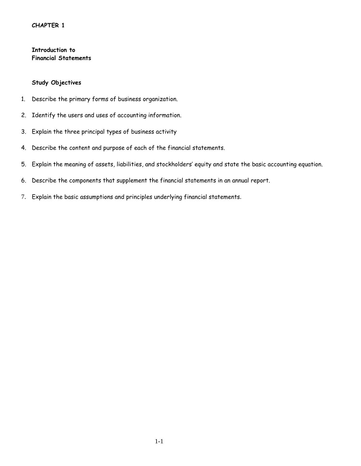## **CHAPTER 1**

**Introduction to Financial Statements**

#### **Study Objectives**

- 1. Describe the primary forms of business organization.
- 2. Identify the users and uses of accounting information.
- 3. Explain the three principal types of business activity
- 4. Describe the content and purpose of each of the financial statements.
- 5. Explain the meaning of assets, liabilities, and stockholders' equity and state the basic accounting equation.
- 6. Describe the components that supplement the financial statements in an annual report.
- 7. Explain the basic assumptions and principles underlying financial statements.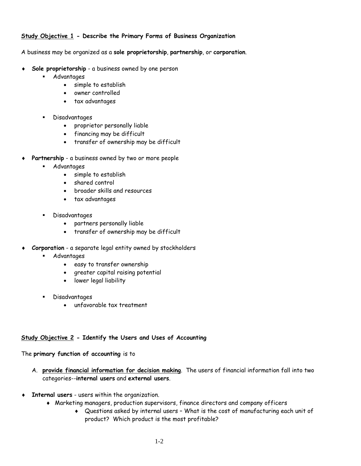## **Study Objective 1 - Describe the Primary Forms of Business Organization**

A business may be organized as a **sole proprietorship**, **partnership**, or **corporation**.

- **Sole proprietorship** a business owned by one person
	- Advantages
		- simple to establish
		- owner controlled
		- tax advantages
	- Disadvantages
		- proprietor personally liable
		- financing may be difficult
		- transfer of ownership may be difficult
- ♦ **Partnership** a business owned by two or more people
	- Advantages
		- simple to establish
		- shared control
		- broader skills and resources
		- tax advantages
	- Disadvantages
		- partners personally liable
		- transfer of ownership may be difficult
- Corporation a separate legal entity owned by stockholders
	- Advantages
		- easy to transfer ownership
		- greater capital raising potential
		- lower legal liability
	- Disadvantages
		- unfavorable tax treatment

### **Study Objective 2 - Identify the Users and Uses of Accounting**

The **primary function of accounting** is to

- A. **provide financial information for decision making**. The users of financial information fall into two categories--**internal users** and **external users**.
- ♦ **Internal users** users within the organization.
	- ♦ Marketing managers, production supervisors, finance directors and company officers
		- ♦ Questions asked by internal users What is the cost of manufacturing each unit of product? Which product is the most profitable?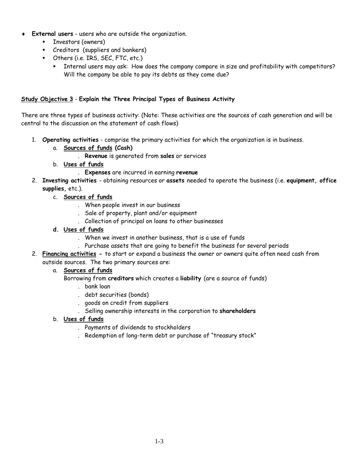- ♦ **External users** users who are outside the organization.
	- **Investors (owners)**
	- **Creditors (suppliers and bankers)**
	- Others (i.e. IRS, SEC, FTC, etc.)
		- Internal users may ask: How does the company compare in size and profitability with competitors? Will the company be able to pay its debts as they come due?

## **Study Objective 3** - **Explain the Three Principal Types of Business Activity**

There are three types of business activity: (Note: These activities are the sources of cash generation and will be central to the discussion on the statement of cash flows)

- 1. **Operating activities** comprise the primary activities for which the organization is in business.
	- a. **Sources of funds (Cash)**
		- . **Revenue** is generated from **sales** or services
	- b. **Uses of funds** 
		- . **Expenses** are incurred in earning **revenue**
- 2. **Investing activities**  obtaining resources or **assets** needed to operate the business (i.e. **equipment, office supplies,** etc.).
	- c. **Sources of funds**
		- . When people invest in our business
		- . Sale of property, plant and/or equipment
		- . Collection of principal on loans to other businesses
	- **d. Uses of funds**
		- . When we invest in another business, that is a use of funds
		- . Purchase assets that are going to benefit the business for several periods
- 2. **Financing activities** to start or expand a business the owner or owners quite often need cash from outside sources. The two primary sources are:

## a. **Sources of funds**

Borrowing from **creditors** which creates a **liability** (are a source of funds)

- . bank loan
- . debt securities (bonds)
- . goods on credit from suppliers
- . Selling ownership interests in the corporation to **shareholders**
- b. **Uses of funds**
	- . Payments of dividends to stockholders
	- . Redemption of long-term debt or purchase of "treasury stock"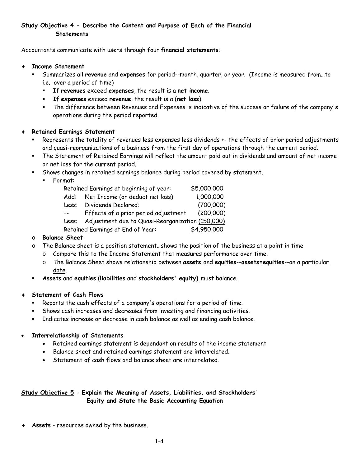## **Study Objective 4 - Describe the Content and Purpose of Each of the Financial Statements**

Accountants communicate with users through four **financial statements**:

- ♦ **Income Statement**
	- Summarizes all **revenue** and **expenses** for period--month, quarter, or year. (Income is measured from…to i.e. over a period of time)
		- If **revenues** exceed **expenses**, the result is a **net income**.
		- If **expenses** exceed **revenue**, the result is a (**net loss**).
		- The difference between Revenues and Expenses is indicative of the success or failure of the company's operations during the period reported.
- ♦ **Retained Earnings Statement** 
	- Represents the totality of revenues less expenses less dividends +- the effects of prior period adjustments and quasi-reorganizations of a business from the first day of operations through the current period.
	- The Statement of Retained Earnings will reflect the amount paid out in dividends and amount of net income or net loss for the current period.
	- Shows changes in retained earnings balance during period covered by statement.
		- Format:

| Retained Earnings at beginning of year:                   | \$5,000,000 |
|-----------------------------------------------------------|-------------|
| Add: Net Income (or deduct net loss)                      | 1,000,000   |
| Dividends Declared:<br>Less:                              | (700,000)   |
| Effects of a prior period adjustment<br>$+ -$             | (200,000)   |
| Adjustment due to Quasi-Reorganization (150,000)<br>Less: |             |
| Retained Earnings at End of Year:                         | \$4,950,000 |

## o **Balance Sheet**

- $\circ$  The Balance sheet is a position statement... shows the position of the business at a point in time
	- o Compare this to the Income Statement that measures performance over time.
	- o The Balance Sheet shows relationship between **assets** and **equities**--**assets=equities**--on a particular date.
- **Assets** and **equities** (**liabilities** and **stockholders' equity)** must balance.

### ♦ **Statement of Cash Flows**

- Reports the cash effects of a company's operations for a period of time.
- Shows cash increases and decreases from investing and financing activities.
- Indicates increase or decrease in cash balance as well as ending cash balance.

### • **Interrelationship of Statements**

- Retained earnings statement is dependant on results of the income statement
- Balance sheet and retained earnings statement are interrelated.
- Statement of cash flows and balance sheet are interrelated.

# **Study Objective 5 - Explain the Meaning of Assets, Liabilities, and Stockholders**' **Equity and State the Basic Accounting Equation**

Assets - resources owned by the business.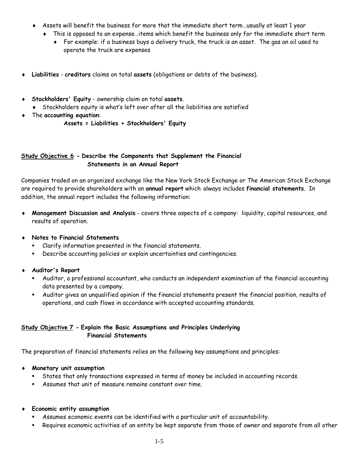- Assets will benefit the business for more that the immediate short term...usually at least 1 year
	- ♦ This is opposed to an expense…items which benefit the business only for the immediate short term
		- ♦ For example: if a business buys a delivery truck, the truck is an asset. The gas an oil used to operate the truck are expenses
- ♦ **Liabilities creditors** claims on total **assets** (obligations or debts of the business).
- ♦ **Stockholders' Equity** ownership claim on total **assets**.
	- ♦ Stockholders equity is what's left over after all the liabilities are satisfied
- ♦ The **accounting equation**:
	- **Assets = Liabilities + Stockholders' Equity**

## **Study Objective 6 - Describe the Components that Supplement the Financial Statements in an Annual Report**

Companies traded on an organized exchange like the New York Stock Exchange or The American Stock Exchange are required to provide shareholders with an **annual report** which always includes **financial statements**. In addition, the annual report includes the following information:

- ♦ **Management Discussion and Analysis** covers three aspects of a company: liquidity, capital resources, and results of operation.
- **Notes to Financial Statements** 
	- Clarify information presented in the financial statements.
	- Describe accounting policies or explain uncertainties and contingencies.
- ♦ **Auditor's Report**
	- Auditor, a professional accountant, who conducts an independent examination of the financial accounting data presented by a company.
	- Auditor gives an unqualified opinion if the financial statements present the financial position, results of operations, and cash flows in accordance with accepted accounting standards.

## **Study Objective 7 - Explain the Basic Assumptions and Principles Underlying Financial Statements**

The preparation of financial statements relies on the following key assumptions and principles:

- ♦ **Monetary unit assumption**
	- States that only transactions expressed in terms of money be included in accounting records.
	- Assumes that unit of measure remains constant over time.
- ♦ **Economic entity assumption**
	- Assumes economic events can be identified with a particular unit of accountability.
	- Requires economic activities of an entity be kept separate from those of owner and separate from all other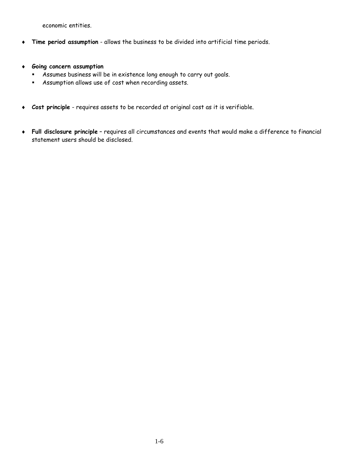economic entities.

- ♦ **Time period assumption** allows the business to be divided into artificial time periods.
- ♦ **Going concern assumption**
	- Assumes business will be in existence long enough to carry out goals.
	- Assumption allows use of cost when recording assets.
- ♦ **Cost principle** requires assets to be recorded at original cost as it is verifiable.
- ♦ **Full disclosure principle** requires all circumstances and events that would make a difference to financial statement users should be disclosed.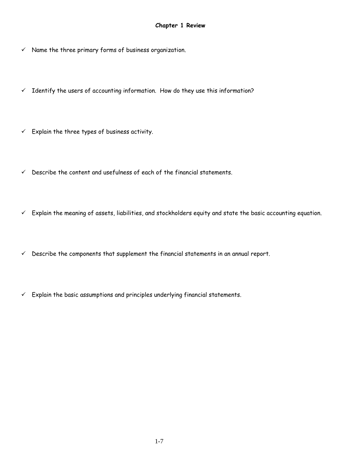- $\checkmark$  Name the three primary forms of business organization.
- $\checkmark$  Identify the users of accounting information. How do they use this information?
- $\checkmark$  Explain the three types of business activity.
- $\checkmark$  Describe the content and usefulness of each of the financial statements.
- $\checkmark$  Explain the meaning of assets, liabilities, and stockholders equity and state the basic accounting equation.
- $\checkmark$  Describe the components that supplement the financial statements in an annual report.
- $\checkmark$  Explain the basic assumptions and principles underlying financial statements.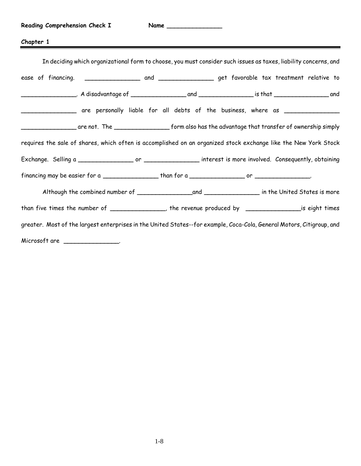# **Chapter 1**

| In deciding which organizational form to choose, you must consider such issues as taxes, liability concerns, and      |                                                                                                                      |  |  |  |
|-----------------------------------------------------------------------------------------------------------------------|----------------------------------------------------------------------------------------------------------------------|--|--|--|
|                                                                                                                       |                                                                                                                      |  |  |  |
|                                                                                                                       |                                                                                                                      |  |  |  |
|                                                                                                                       | _________________ are personally liable for all debts of the business, where as ________________                     |  |  |  |
|                                                                                                                       | __________________are not. The ________________________form also has the advantage that transfer of ownership simply |  |  |  |
| requires the sale of shares, which often is accomplished on an organized stock exchange like the New York Stock       |                                                                                                                      |  |  |  |
|                                                                                                                       |                                                                                                                      |  |  |  |
|                                                                                                                       |                                                                                                                      |  |  |  |
|                                                                                                                       |                                                                                                                      |  |  |  |
|                                                                                                                       | than five times the number of ______________, the revenue produced by __________________is eight times               |  |  |  |
| greater. Most of the largest enterprises in the United States--for example, Coca-Cola, General Motors, Citigroup, and |                                                                                                                      |  |  |  |
| Microsoft are ___________________                                                                                     |                                                                                                                      |  |  |  |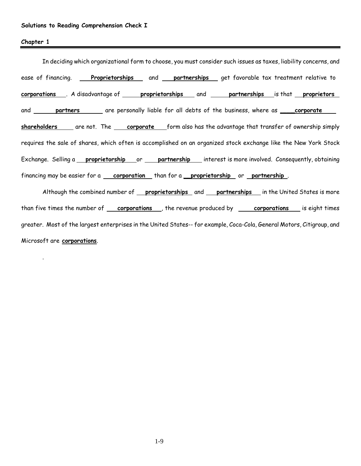.

In deciding which organizational form to choose, you must consider such issues as taxes, liability concerns, and ease of financing. **Proprietorships** and **partnerships** get favorable tax treatment relative to **corporations** . A disadvantage of **proprietorships** and **partnerships** is that **proprietors** and **partners** are personally liable for all debts of the business, where as \_\_\_\_**corporate shareholders** are not. The **corporate** form also has the advantage that transfer of ownership simply requires the sale of shares, which often is accomplished on an organized stock exchange like the New York Stock Exchange. Selling a **proprietorship** or **partnership** interest is more involved. Consequently, obtaining financing may be easier for a **corporation** than for a \_\_**proprietorship** or **partnership** .

Although the combined number of **proprietorships** and **partnerships** in the United States is more than five times the number of <u>corporations</u>, the revenue produced by <u>corporations</u> is eight times greater. Most of the largest enterprises in the United States-- for example, Coca-Cola, General Motors, Citigroup, and Microsoft are **corporations**.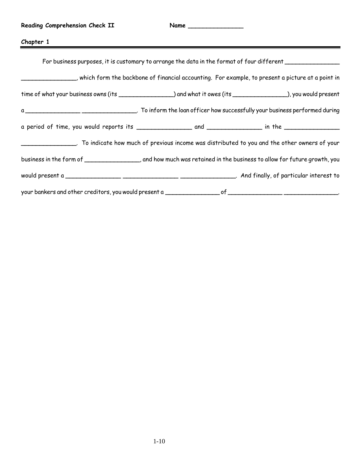| Reading Comprehension Check II                                                                                                                                                                      | Name |                                                                                                           |
|-----------------------------------------------------------------------------------------------------------------------------------------------------------------------------------------------------|------|-----------------------------------------------------------------------------------------------------------|
| Chapter 1                                                                                                                                                                                           |      |                                                                                                           |
|                                                                                                                                                                                                     |      | For business purposes, it is customary to arrange the data in the format of four different ______________ |
| which form the backbone of financial accounting. For example, to present a picture at a point in , which form the backbone of financial accounting. For example, to present a picture at a point in |      |                                                                                                           |
| time of what your business owns (its ________________) and what it owes (its ______________), you would present                                                                                     |      |                                                                                                           |
|                                                                                                                                                                                                     |      |                                                                                                           |
|                                                                                                                                                                                                     |      |                                                                                                           |
|                                                                                                                                                                                                     |      |                                                                                                           |
| business in the form of _________________, and how much was retained in the business to allow for future growth, you                                                                                |      |                                                                                                           |
|                                                                                                                                                                                                     |      |                                                                                                           |
|                                                                                                                                                                                                     |      |                                                                                                           |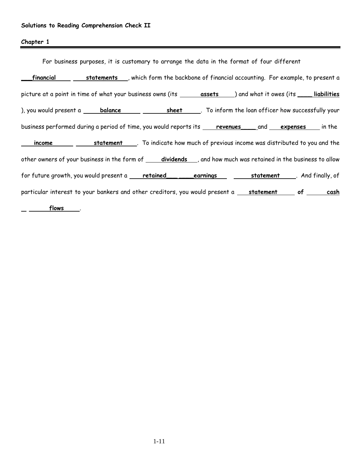| For business purposes, it is customary to arrange the data in the format of four different                              |  |  |  |
|-------------------------------------------------------------------------------------------------------------------------|--|--|--|
| financial statements, which form the backbone of financial accounting. For example, to present a                        |  |  |  |
| picture at a point in time of what your business owns (its _______ assets ____) and what it owes (its _____ liabilities |  |  |  |
|                                                                                                                         |  |  |  |
| business performed during a period of time, you would reports its revenues and expenses in the                          |  |  |  |
|                                                                                                                         |  |  |  |
| other owners of your business in the form of _____ dividends ___, and how much was retained in the business to allow    |  |  |  |
| for future growth, you would present a retained earnings statement . And finally, of                                    |  |  |  |
| particular interest to your bankers and other creditors, you would present a statement of cosh                          |  |  |  |
| flows                                                                                                                   |  |  |  |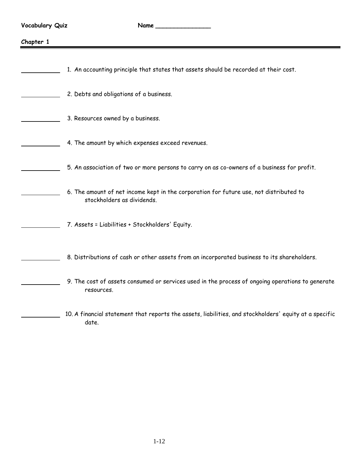$\blacksquare$ 

| Chapter 1 |                                                                                                                      |
|-----------|----------------------------------------------------------------------------------------------------------------------|
|           | 1. An accounting principle that states that assets should be recorded at their cost.                                 |
|           | 2. Debts and obligations of a business.                                                                              |
|           | 3. Resources owned by a business.                                                                                    |
|           | 4. The amount by which expenses exceed revenues.                                                                     |
|           | 5. An association of two or more persons to carry on as co-owners of a business for profit.                          |
|           | 6. The amount of net income kept in the corporation for future use, not distributed to<br>stockholders as dividends. |
|           | 7. Assets = Liabilities + Stockholders' Equity.                                                                      |
|           | 8. Distributions of cash or other assets from an incorporated business to its shareholders.                          |
|           | 9. The cost of assets consumed or services used in the process of ongoing operations to generate<br>resources.       |
|           | 10. A financial statement that reports the assets, liabilities, and stockholders' equity at a specific               |

date.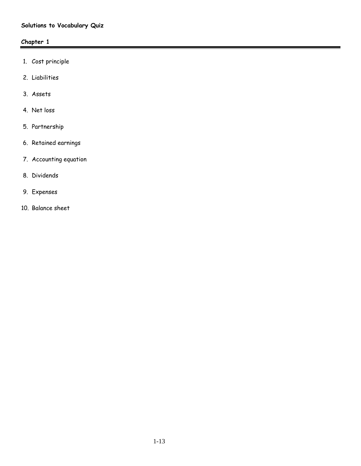# **Solutions to Vocabulary Quiz**

# **Chapter 1**

- 1. Cost principle
- 2. Liabilities
- 3. Assets
- 4. Net loss
- 5. Partnership
- 6. Retained earnings
- 7. Accounting equation
- 8. Dividends
- 9. Expenses
- 10. Balance sheet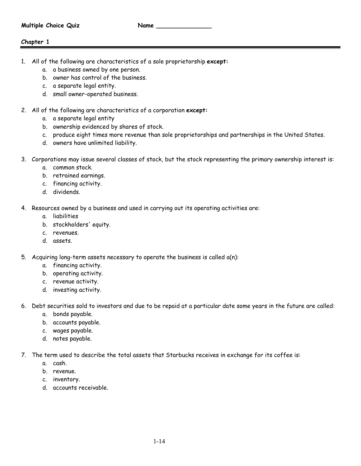- 1. All of the following are characteristics of a sole proprietorship **except:**
	- a. a business owned by one person.
	- b. owner has control of the business.
	- c. a separate legal entity.
	- d. small owner-operated business.
- 2. All of the following are characteristics of a corporation **except:**
	- a. a separate legal entity
	- b. ownership evidenced by shares of stock.
	- c. produce eight times more revenue than sole proprietorships and partnerships in the United States.
	- d. owners have unlimited liability.
- 3. Corporations may issue several classes of stock, but the stock representing the primary ownership interest is:
	- a. common stock.
	- b. retrained earnings.
	- c. financing activity.
	- d. dividends.
- 4. Resources owned by a business and used in carrying out its operating activities are:
	- a. liabilities
	- b. stockholders' equity.
	- c. revenues.
	- d. assets.
- 5. Acquiring long-term assets necessary to operate the business is called a(n):
	- a. financing activity.
	- b. operating activity.
	- c. revenue activity.
	- d. investing activity.
- 6. Debt securities sold to investors and due to be repaid at a particular date some years in the future are called:
	- a. bonds payable.
	- b. accounts payable.
	- c. wages payable.
	- d. notes payable.
- 7. The term used to describe the total assets that Starbucks receives in exchange for its coffee is:
	- a. cash.
	- b. revenue.
	- c. inventory.
	- d. accounts receivable.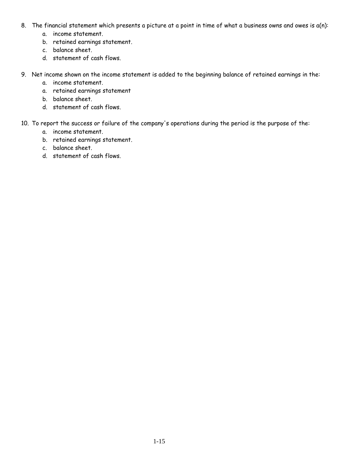- 8. The financial statement which presents a picture at a point in time of what a business owns and owes is a(n):
	- a. income statement.
	- b. retained earnings statement.
	- c. balance sheet.
	- d. statement of cash flows.
- 9. Net income shown on the income statement is added to the beginning balance of retained earnings in the:
	- a. income statement.
	- a. retained earnings statement
	- b. balance sheet.
	- d. statement of cash flows.
- 10. To report the success or failure of the company's operations during the period is the purpose of the:
	- a. income statement.
	- b. retained earnings statement.
	- c. balance sheet.
	- d. statement of cash flows.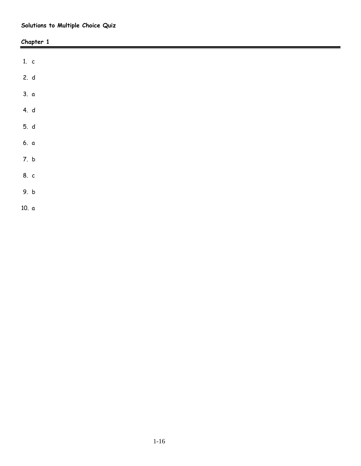# **Solutions to Multiple Choice Quiz**

|        | Chapter 1 |  |
|--------|-----------|--|
|        |           |  |
| 1. $c$ |           |  |
| 2. d   |           |  |
| 3. a   |           |  |
| 4. $d$ |           |  |
| 5. d   |           |  |
| 6. a   |           |  |
| 7. b   |           |  |
| 8. c   |           |  |
| 9. b   |           |  |
| 10. a  |           |  |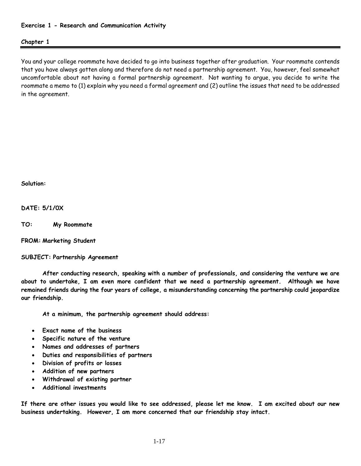### **Exercise 1 - Research and Communication Activity**

### **Chapter 1**

You and your college roommate have decided to go into business together after graduation. Your roommate contends that you have always gotten along and therefore do not need a partnership agreement. You, however, feel somewhat uncomfortable about not having a formal partnership agreement. Not wanting to argue, you decide to write the roommate a memo to (1) explain why you need a formal agreement and (2) outline the issues that need to be addressed in the agreement.

**Solution:**

**DATE: 5/1/0X** 

**TO: My Roommate** 

**FROM: Marketing Student** 

**SUBJECT: Partnership Agreement** 

**After conducting research, speaking with a number of professionals, and considering the venture we are about to undertake, I am even more confident that we need a partnership agreement. Although we have remained friends during the four years of college, a misunderstanding concerning the partnership could jeopardize our friendship.** 

**At a minimum, the partnership agreement should address:** 

- **Exact name of the business**
- **Specific nature of the venture**
- **Names and addresses of partners**
- **Duties and responsibilities of partners**
- **Division of profits or losses**
- **Addition of new partners**
- **Withdrawal of existing partner**
- **Additional investments**

**If there are other issues you would like to see addressed, please let me know. I am excited about our new business undertaking. However, I am more concerned that our friendship stay intact.**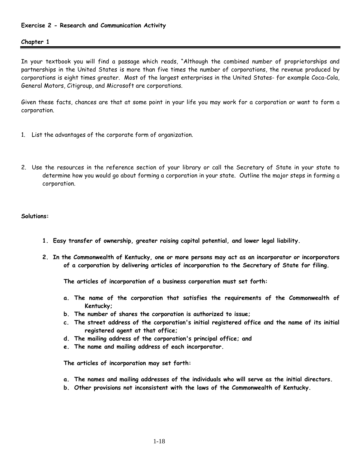### **Exercise 2 - Research and Communication Activity**

#### **Chapter 1**

In your textbook you will find a passage which reads, "Although the combined number of proprietorships and partnerships in the United States is more than five times the number of corporations, the revenue produced by corporations is eight times greater. Most of the largest enterprises in the United States- for example Coca-Cola, General Motors, Citigroup, and Microsoft are corporations.

Given these facts, chances are that at some point in your life you may work for a corporation or want to form a corporation.

- 1. List the advantages of the corporate form of organization.
- 2. Use the resources in the reference section of your library or call the Secretary of State in your state to determine how you would go about forming a corporation in your state. Outline the major steps in forming a corporation.

#### **Solutions:**

- **1. Easy transfer of ownership, greater raising capital potential, and lower legal liability.**
- **2. In the Commonwealth of Kentucky, one or more persons may act as an incorporator or incorporators of a corporation by delivering articles of incorporation to the Secretary of State for filing.**

**The articles of incorporation of a business corporation must set forth:**

- **a. The name of the corporation that satisfies the requirements of the Commonwealth of Kentucky;**
- **b. The number of shares the corporation is authorized to issue;**
- **c. The street address of the corporation's initial registered office and the name of its initial registered agent at that office;**
- **d. The mailing address of the corporation's principal office; and**
- **e. The name and mailing address of each incorporator.**

**The articles of incorporation may set forth:** 

- **a. The names and mailing addresses of the individuals who will serve as the initial directors.**
- **b. Other provisions not inconsistent with the laws of the Commonwealth of Kentucky.**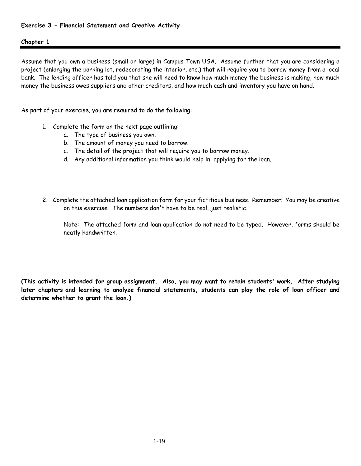Assume that you own a business (small or large) in Campus Town USA. Assume further that you are considering a project (enlarging the parking lot, redecorating the interior, etc.) that will require you to borrow money from a local bank. The lending officer has told you that she will need to know how much money the business is making, how much money the business owes suppliers and other creditors, and how much cash and inventory you have on hand.

As part of your exercise, you are required to do the following:

- 1. Complete the form on the next page outlining:
	- a. The type of business you own.
	- b. The amount of money you need to borrow.
	- c. The detail of the project that will require you to borrow money.
	- d. Any additional information you think would help in applying for the loan.
- 2. Complete the attached loan application form for your fictitious business. Remember: You may be creative on this exercise. The numbers don't have to be real, just realistic.

Note: The attached form and loan application do not need to be typed. However, forms should be neatly handwritten.

**(This activity is intended for group assignment. Also, you may want to retain students' work. After studying later chapters and learning to analyze financial statements, students can play the role of loan officer and determine whether to grant the loan.)**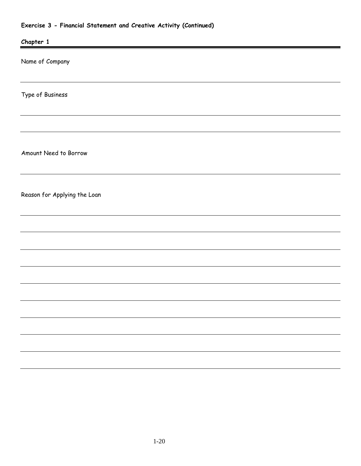# **Exercise 3 - Financial Statement and Creative Activity (Continued)**

| Chapter 1                    |  |
|------------------------------|--|
| Name of Company              |  |
| Type of Business             |  |
|                              |  |
| Amount Need to Borrow        |  |
| Reason for Applying the Loan |  |
|                              |  |
|                              |  |
|                              |  |
|                              |  |
|                              |  |
|                              |  |
|                              |  |
|                              |  |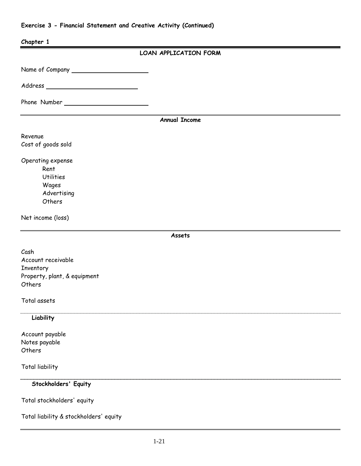# **Exercise 3 - Financial Statement and Creative Activity (Continued)**

| Chapter 1                                  |                       |
|--------------------------------------------|-----------------------|
|                                            | LOAN APPLICATION FORM |
|                                            |                       |
| Address __________________________________ |                       |
|                                            |                       |
|                                            |                       |
|                                            | <b>Annual Income</b>  |
| Revenue                                    |                       |
| Cost of goods sold                         |                       |
| Operating expense                          |                       |
| Rent                                       |                       |
| <b>Utilities</b>                           |                       |
| Wages                                      |                       |
| Advertising<br>Others                      |                       |
|                                            |                       |
| Net income (loss)                          |                       |
|                                            | Assets                |
|                                            |                       |
| Cash                                       |                       |
| Account receivable                         |                       |
| Inventory<br>Property, plant, & equipment  |                       |
| Others                                     |                       |
| Total assets                               |                       |
| Liability                                  |                       |
| Account payable                            |                       |
| Notes payable                              |                       |
| Others                                     |                       |
| Total liability                            |                       |
| Stockholders' Equity                       |                       |
| Total stockholders' equity                 |                       |
| Total liability & stockholders' equity     |                       |
|                                            |                       |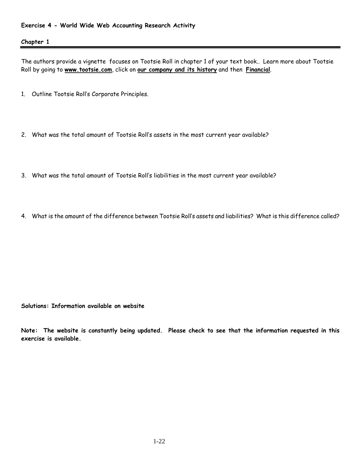The authors provide a vignette focuses on Tootsie Roll in chapter 1 of your text book.. Learn more about Tootsie Roll by going to **www.tootsie.com**, click on **our company and its history** and then **Financial**.

- 1. Outline Tootsie Roll's Corporate Principles.
- 2. What was the total amount of Tootsie Roll's assets in the most current year available?
- 3. What was the total amount of Tootsie Roll's liabilities in the most current year available?
- 4. What is the amount of the difference between Tootsie Roll's assets and liabilities? What is this difference called?

**Solutions: Information available on website** 

**Note: The website is constantly being updated. Please check to see that the information requested in this exercise is available.**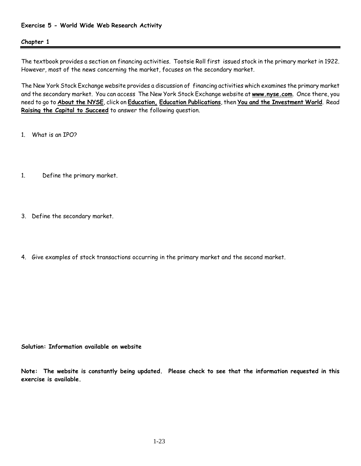### **Exercise 5 - World Wide Web Research Activity**

#### **Chapter 1**

The textbook provides a section on financing activities. Tootsie Roll first issued stock in the primary market in 1922. However, most of the news concerning the market, focuses on the secondary market.

The New York Stock Exchange website provides a discussion of financing activities which examines the primary market and the secondary market. You can access The New York Stock Exchange website at **www.nyse.com**. Once there, you need to go to **About the NYSE**, click on **Education, Education Publications**, then **You and the Investment World**. Read **Raising the Capital to Succeed** to answer the following question.

1. What is an IPO?

- 1. Define the primary market.
- 3. Define the secondary market.
- 4. Give examples of stock transactions occurring in the primary market and the second market.

**Solution: Information available on website** 

**Note: The website is constantly being updated. Please check to see that the information requested in this exercise is available.**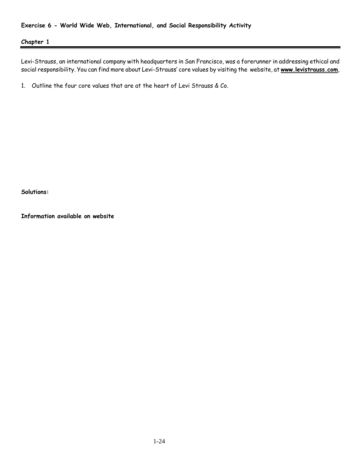Levi-Strauss, an international company with headquarters in San Francisco, was a forerunner in addressing ethical and social responsibility. You can find more about Levi-Strauss' core values by visiting the website, at **www.levistrauss.com**,

1. Outline the four core values that are at the heart of Levi Strauss & Co.

**Solutions:** 

**Information available on website**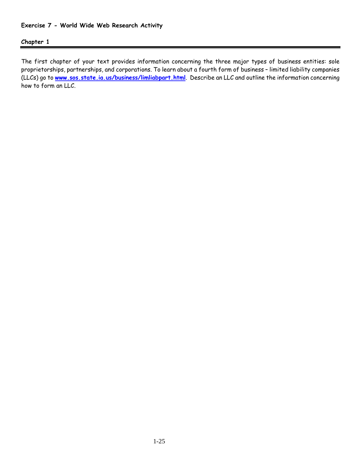The first chapter of your text provides information concerning the three major types of business entities: sole proprietorships, partnerships, and corporations. To learn about a fourth form of business – limited liability companies (LLCs) go to **[www.sos.state.ia.us/business/limliabpart.html](http://www.sos.state.ia.us/business/limliabpart.html)**. Describe an LLC and outline the information concerning how to form an LLC.